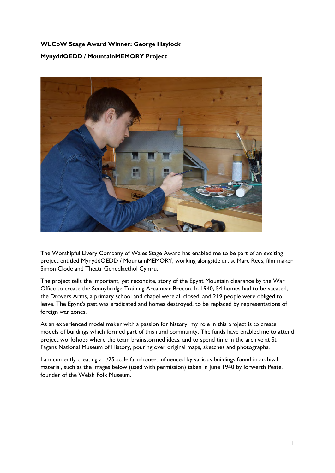## **WLCoW Stage Award Winner: George Haylock MynyddOEDD / MountainMEMORY Project**



The Worshipful Livery Company of Wales Stage Award has enabled me to be part of an exciting project entitled MynyddOEDD / MountainMEMORY, working alongside artist Marc Rees, film maker Simon Clode and Theatr Genedlaethol Cymru.

The project tells the important, yet recondite, story of the Epynt Mountain clearance by the War Office to create the Sennybridge Training Area near Brecon. In 1940, 54 homes had to be vacated, the Drovers Arms, a primary school and chapel were all closed, and 219 people were obliged to leave. The Epynt's past was eradicated and homes destroyed, to be replaced by representations of foreign war zones.

As an experienced model maker with a passion for history, my role in this project is to create models of buildings which formed part of this rural community. The funds have enabled me to attend project workshops where the team brainstormed ideas, and to spend time in the archive at St Fagans National Museum of History, pouring over original maps, sketches and photographs.

I am currently creating a 1/25 scale farmhouse, influenced by various buildings found in archival material, such as the images below (used with permission) taken in June 1940 by Iorwerth Peate, founder of the Welsh Folk Museum.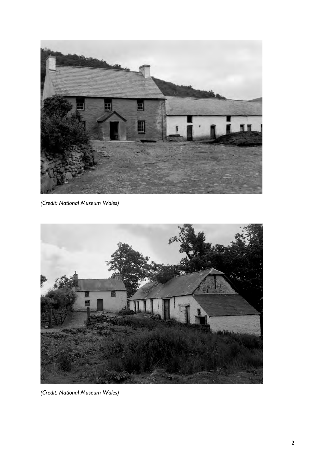

*(Credit: National Museum Wales)*



*(Credit: National Museum Wales)*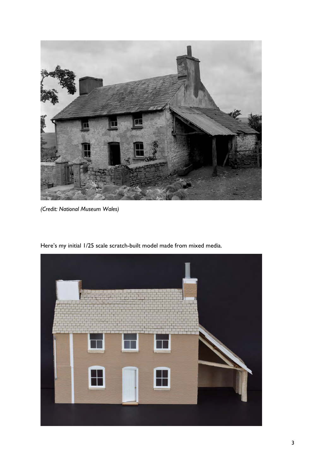

*(Credit: National Museum Wales)*

Here's my initial 1/25 scale scratch-built model made from mixed media.

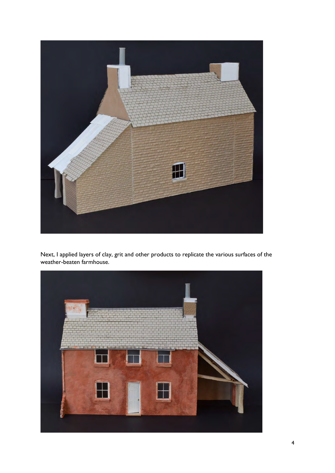

Next, I applied layers of clay, grit and other products to replicate the various surfaces of the weather-beaten farmhouse.

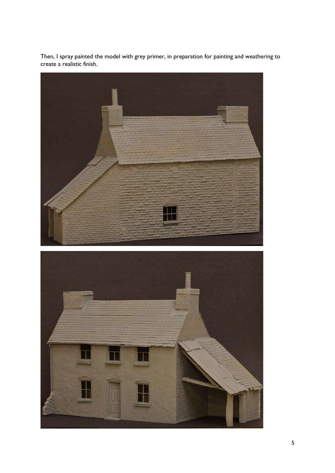

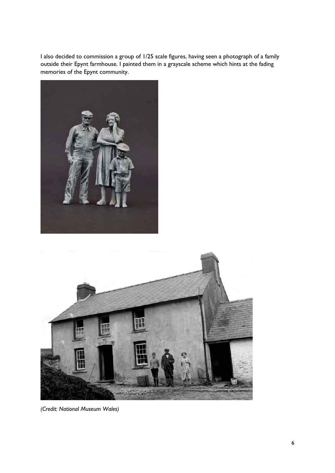I also decided to commission a group of 1/25 scale figures, having seen a photograph of a family outside their Epynt farmhouse. I painted them in a grayscale scheme which hints at the fading memories of the Epynt community.





*(Credit: National Museum Wales)*